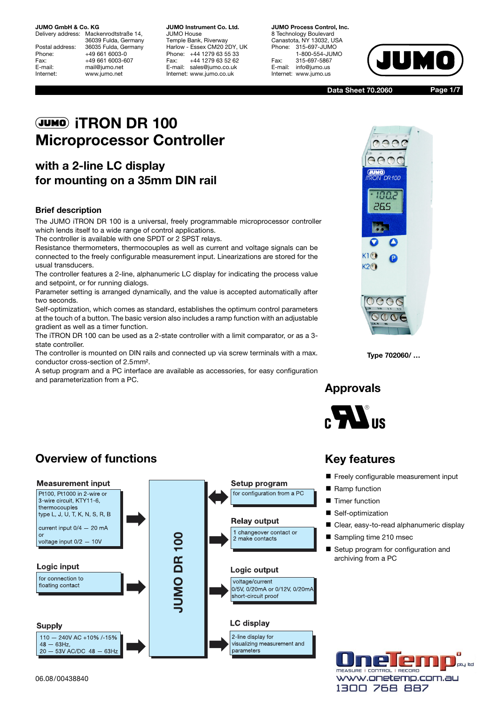36039 Fulda, Germany Postal address: 36035 Fulda, Germany Phone: +49 661 6003-0 Fax: +49 661 6003-607<br>E-mail: mail@iumo.net mail@jumo.net Internet: www.jumo.net

Temple Bank, Riverway Harlow - Essex CM20 2DY, UK Phone: +44 1279 63 55 33 Fax: +44 1279 63 52 62 E-mail: sales@jumo.co.uk Internet: www.jumo.co.uk

 $S$ anastota,  $\ldots$  13032, SSA Phone: 315-697-JUMO 1-800-554-JUMO Fax: 315-697-5867 E-mail: info@jumo.us Internet: www.jumo.us



**Data Sheet 70.2060**

**Page 1/7**

# J **iTRON DR 100 Microprocessor Controller**

## **with a 2-line LC display for mounting on a 35mm DIN rail**

#### **Brief description**

The JUMO iTRON DR 100 is a universal, freely programmable microprocessor controller which lends itself to a wide range of control applications.

The controller is available with one SPDT or 2 SPST relays.

Resistance thermometers, thermocouples as well as current and voltage signals can be connected to the freely configurable measurement input. Linearizations are stored for the usual transducers.

The controller features a 2-line, alphanumeric LC display for indicating the process value and setpoint, or for running dialogs.

Parameter setting is arranged dynamically, and the value is accepted automatically after two seconds.

Self-optimization, which comes as standard, establishes the optimum control parameters at the touch of a button. The basic version also includes a ramp function with an adjustable gradient as well as a timer function.

The iTRON DR 100 can be used as a 2-state controller with a limit comparator, or as a 3 state controller.

The controller is mounted on DIN rails and connected up via screw terminals with a max. conductor cross-section of 2.5mm².

A setup program and a PC interface are available as accessories, for easy configuration and parameterization from a PC.



**Type 702060/ …** 

### **Approvals**



## **Overview of functions**



### **Key features**

- Freely configurable measurement input
- Ramp function
- **Timer function**
- Self-optimization
- Clear, easy-to-read alphanumeric display
- Sampling time 210 msec
- Setup program for configuration and archiving from a PC



06.08/00438840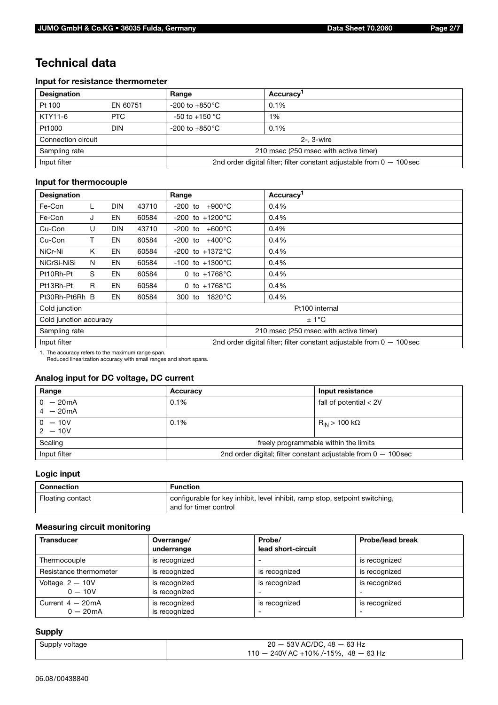### **Technical data**

#### **Input for resistance thermometer**

| <b>Designation</b> |            | Range                                                                   | Accuracy <sup>1</sup> |  |
|--------------------|------------|-------------------------------------------------------------------------|-----------------------|--|
| Pt 100             | EN 60751   | $-200$ to $+850^{\circ}$ C                                              | 0.1%                  |  |
| KTY11-6            | <b>PTC</b> | $-50$ to $+150$ °C                                                      | 1%                    |  |
| Pt1000             | DIN        | $-200$ to $+850^{\circ}$ C                                              | 0.1%                  |  |
| Connection circuit |            |                                                                         | $2 - 3$ -wire         |  |
| Sampling rate      |            | 210 msec (250 msec with active timer)                                   |                       |  |
| Input filter       |            | 2nd order digital filter; filter constant adjustable from $0 - 100$ sec |                       |  |

### **Input for thermocouple**

| <b>Designation</b>     |    |            |       | Range                                                                   | Accuracy <sup>1</sup> |  |
|------------------------|----|------------|-------|-------------------------------------------------------------------------|-----------------------|--|
| Fe-Con                 | L  | <b>DIN</b> | 43710 | $-200$ to<br>$+900^{\circ}$ C                                           | 0.4%                  |  |
| Fe-Con                 | J  | EN         | 60584 | $-200$ to $+1200^{\circ}$ C                                             | 0.4%                  |  |
| Cu-Con                 | U  | <b>DIN</b> | 43710 | $+600^{\circ}$ C<br>-200 to                                             | 0.4%                  |  |
| Cu-Con                 | т  | EN         | 60584 | $-200$ to $+400^{\circ}$ C                                              | 0.4%                  |  |
| NiCr-Ni                | K  | EN         | 60584 | $-200$ to $+1372^{\circ}$ C                                             | 0.4%                  |  |
| NiCrSi-NiSi            | N  | EN         | 60584 | $-100$ to $+1300^{\circ}$ C                                             | 0.4%                  |  |
| Pt10Rh-Pt              | S  | EN         | 60584 | 0 to $+1768$ °C                                                         | 0.4%                  |  |
| Pt13Rh-Pt              | R. | EN         | 60584 | 0 to $+1768^{\circ}$ C                                                  | 0.4%                  |  |
| Pt30Rh-Pt6Rh B         |    | EN         | 60584 | 300 to<br>$1820^{\circ}$ C                                              | 0.4%                  |  |
| Cold junction          |    |            |       | Pt100 internal                                                          |                       |  |
| Cold junction accuracy |    |            |       | ±1°C                                                                    |                       |  |
| Sampling rate          |    |            |       | 210 msec (250 msec with active timer)                                   |                       |  |
| Input filter           |    |            |       | 2nd order digital filter; filter constant adjustable from $0 - 100$ sec |                       |  |

1. The accuracy refers to the maximum range span. Reduced linearization accuracy with small ranges and short spans.

### **Analog input for DC voltage, DC current**

| Range                    | Accuracy                                                         | Input resistance              |  |
|--------------------------|------------------------------------------------------------------|-------------------------------|--|
| $0 - 20mA$<br>$4 - 20mA$ | 0.1%                                                             | fall of potential $< 2V$      |  |
| $0 - 10V$<br>$2 - 10V$   | $0.1\%$                                                          | $\rm R_{IN}$ > 100 k $\Omega$ |  |
| Scaling                  | freely programmable within the limits                            |                               |  |
| Input filter             | 2nd order digital; filter constant adjustable from $0 - 100$ sec |                               |  |

### **Logic input**

| Connection       | <b>Function</b>                                                                                      |
|------------------|------------------------------------------------------------------------------------------------------|
| Floating contact | configurable for key inhibit, level inhibit, ramp stop, setpoint switching,<br>and for timer control |

#### **Measuring circuit monitoring**

| <b>Transducer</b>               | Overrange/<br>underrange       | Probe/<br>lead short-circuit | <b>Probe/lead break</b> |
|---------------------------------|--------------------------------|------------------------------|-------------------------|
| Thermocouple                    | is recognized                  |                              | is recognized           |
| Resistance thermometer          | is recognized                  | is recognized                | is recognized           |
| Voltage $2 - 10V$<br>$0 - 10V$  | is recognized<br>is recognized | is recognized                | is recognized           |
| Current $4-20mA$<br>$0 - 20$ mA | is recognized<br>is recognized | is recognized                | is recognized           |

#### **Supply**

| Supply voltage | $20 - 53V$ AC/DC, 48 $- 63$ Hz         |
|----------------|----------------------------------------|
|                | $110 - 240V$ AC +10% /-15%, 48 - 63 Hz |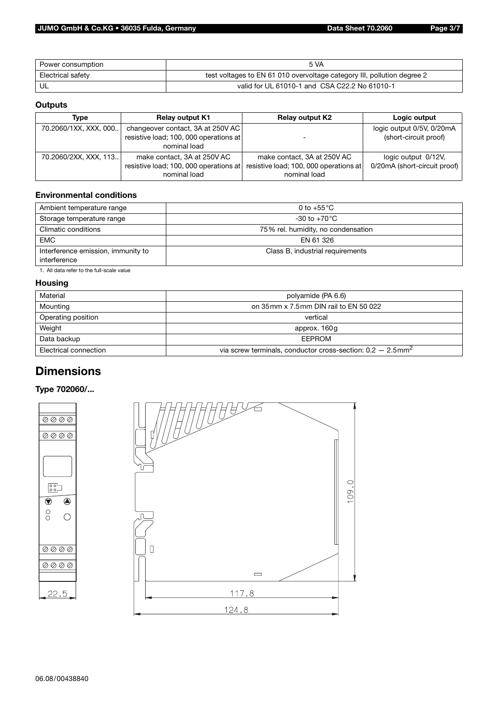| Power consumption | <b>5 VA</b>                                                             |  |
|-------------------|-------------------------------------------------------------------------|--|
| Electrical safety | test voltages to EN 61 010 overvoltage category III, pollution degree 2 |  |
| UL                | valid for UL 61010-1 and CSA C22.2 No 61010-1                           |  |

### **Outputs**

| Type                  | <b>Relay output K1</b>                                                                      | <b>Relay output K2</b>                                                                | Logic output                                        |
|-----------------------|---------------------------------------------------------------------------------------------|---------------------------------------------------------------------------------------|-----------------------------------------------------|
| 70.2060/1XX, XXX, 000 | changeover contact, 3A at 250V AC<br>resistive load; 100, 000 operations at<br>nominal load |                                                                                       | logic output 0/5V, 0/20mA<br>(short-circuit proof)  |
| 70.2060/2XX, XXX, 113 | make contact, 3A at 250V AC<br>resistive load; 100, 000 operations at<br>nominal load       | make contact, 3A at 250V AC<br>resistive load; 100, 000 operations at<br>nominal load | logic output 0/12V,<br>0/20mA (short-circuit proof) |

#### **Environmental conditions**

| 0 to +55 $^{\circ}$ C              |  |
|------------------------------------|--|
| -30 to +70 $^{\circ}$ C $^{\circ}$ |  |
| 75% rel. humidity, no condensation |  |
| EN 61 326                          |  |
| Class B, industrial requirements   |  |
|                                    |  |

1. All data refer to the full-scale value

#### **Housing**

| Material<br>polyamide (PA 6.6)                                                                     |                                       |  |
|----------------------------------------------------------------------------------------------------|---------------------------------------|--|
| Mounting                                                                                           | on 35mm x 7.5mm DIN rail to EN 50 022 |  |
| Operating position<br>vertical                                                                     |                                       |  |
| Weight<br>approx. 160g                                                                             |                                       |  |
| Data backup<br><b>EEPROM</b>                                                                       |                                       |  |
| via screw terminals, conductor cross-section: $0.2 - 2.5$ mm <sup>2</sup><br>Electrical connection |                                       |  |

### **Dimensions**

### **Type 702060/...**

 $\begin{bmatrix} 0 & 0 \\ 0 & 0 \end{bmatrix}$  $\overline{\bigcirc}$ 

 $\begin{matrix} 0 \\ 0 \end{matrix}$ 



 $22.5$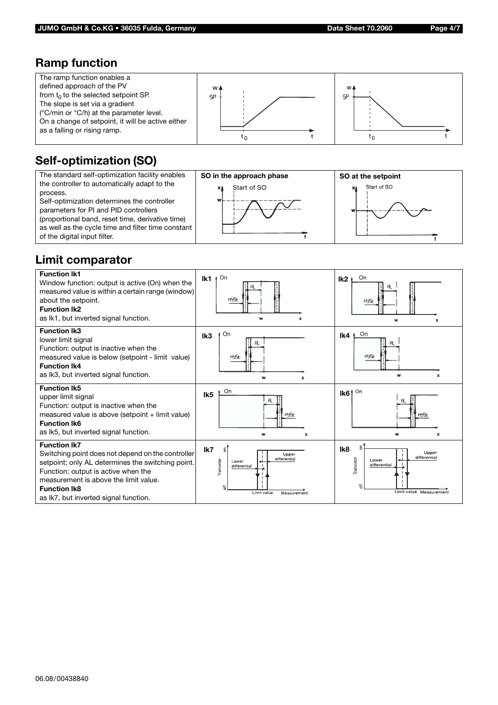### **Ramp function**



# **Self-optimization (SO)**



# **Limit comparator**

| <b>Function Ik1</b><br>Window function: output is active (On) when the<br>measured value is within a certain range (window)<br>about the setpoint.<br><b>Function Ik2</b><br>as lk1, but inverted signal function.                                                            | On<br>lk1<br>HYSE<br>W<br>x                                                                                  | On<br>lk <sub>2</sub><br>HYSE<br>W<br>x                                                                  |
|-------------------------------------------------------------------------------------------------------------------------------------------------------------------------------------------------------------------------------------------------------------------------------|--------------------------------------------------------------------------------------------------------------|----------------------------------------------------------------------------------------------------------|
| <b>Function Ik3</b><br>lower limit signal<br>Function: output is inactive when the<br>measured value is below (setpoint - limit value)<br><b>Function Ik4</b><br>as Ik3, but inverted signal function.                                                                        | On<br>Ik <sub>3</sub><br>HYSE<br>W<br>x                                                                      | On<br>lk4<br>RL.<br>HYSE<br>W<br>x                                                                       |
| <b>Function Ik5</b><br>upper limit signal<br>Function: output is inactive when the<br>measured value is above (setpoint + limit value)<br><b>Function Ik6</b><br>as Ik5, but inverted signal function.                                                                        | On<br>Ik <sub>5</sub><br>Rï.<br>HYSE<br>W<br>x                                                               | On<br>Ik6 <sup>1</sup><br>HYSE<br>W<br>X                                                                 |
| <b>Function Ik7</b><br>Switching point does not depend on the controller<br>setpoint; only AL determines the switching point.<br>Function: output is active when the<br>measurement is above the limit value.<br><b>Function Ik8</b><br>as Ik7, but inverted signal function. | lk7<br>g.<br>Upper<br>differential<br>Transistor<br>Lower<br>differential<br>韦<br>Limit value<br>Measurement | F<br>Ik8<br>Upper<br>differential<br>Transistor<br>Lower<br>differential<br>气<br>Limit value Measurement |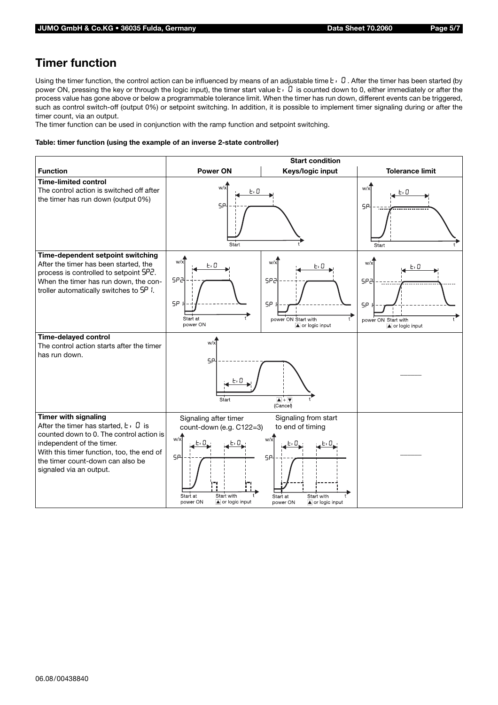## **Timer function**

Using the timer function, the control action can be influenced by means of an adjustable time  $\mathbf{t} \cdot \mathbf{0}$ . After the timer has been started (by power ON, pressing the key or through the logic input), the timer start value  $t \cdot 0$  is counted down to 0, either immediately or after the process value has gone above or below a programmable tolerance limit. When the timer has run down, different events can be triggered, such as control switch-off (output 0%) or setpoint switching. In addition, it is possible to implement timer signaling during or after the timer count, via an output.

The timer function can be used in conjunction with the ramp function and setpoint switching.

#### **Table: timer function (using the example of an inverse 2-state controller)**

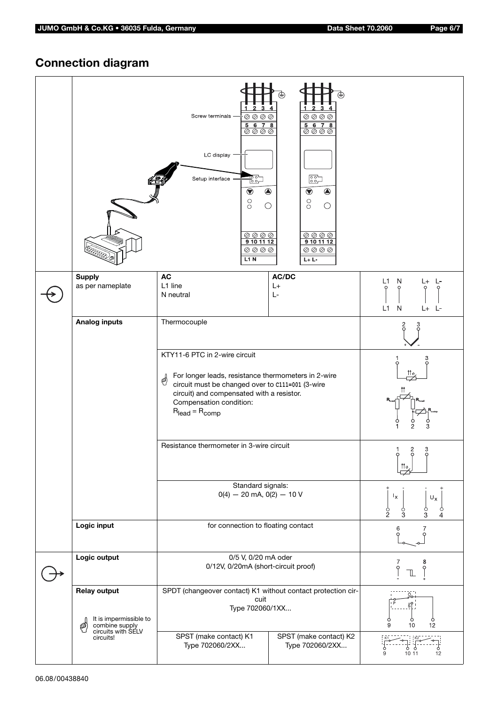# **Connection diagram**

|                                                                      | $1\quad 2\quad 3\quad 4$<br>Screw terminals -<br>$\textcircled{\tiny{2}} \textcircled{\tiny{2}} \textcircled{\tiny{3}} \textcircled{\tiny{3}}$<br>$\frac{5678}{00000}$<br>LC display<br>ᇃᇬ<br>Setup interface .<br>$\bigcirc$<br>$\bigcirc$<br>$\rm{^{\circ}}$<br>$\bigcirc$<br>$\textcircled{\tiny{2}} \textcircled{\tiny{3}} \textcircled{\tiny{4}}$<br>9 10 11 12<br>$\textcircled{\tiny{2}} \textcircled{\tiny{2}} \textcircled{\tiny{3}}$<br>L1N | $1234$<br>$\textcircled{\tiny{2}} \textcircled{\tiny{3}} \textcircled{\tiny{4}}$<br>$\frac{5678}{0000}$<br>$\begin{bmatrix} 0 & 0 \\ 0 & 0 \end{bmatrix}$<br>$\bigcirc$<br>$\textcircled{\ }$<br>$_{\circ}^{\circ}$<br>$\bigcirc$<br>$\textcircled{\tiny{2}} \textcircled{\tiny{3}} \textcircled{\tiny{4}}$<br>9101112<br>$\textcircled{\tiny{2}} \textcircled{\tiny{2}} \textcircled{\tiny{3}}$<br>$L + L -$ |                                                                                                                            |  |
|----------------------------------------------------------------------|-------------------------------------------------------------------------------------------------------------------------------------------------------------------------------------------------------------------------------------------------------------------------------------------------------------------------------------------------------------------------------------------------------------------------------------------------------|---------------------------------------------------------------------------------------------------------------------------------------------------------------------------------------------------------------------------------------------------------------------------------------------------------------------------------------------------------------------------------------------------------------|----------------------------------------------------------------------------------------------------------------------------|--|
| <b>Supply</b><br>as per nameplate                                    | <b>AC</b><br>L1 line<br>N neutral                                                                                                                                                                                                                                                                                                                                                                                                                     | AC/DC<br>$L+$<br>$L-$                                                                                                                                                                                                                                                                                                                                                                                         | L1<br>N<br>L+<br>Ŀ<br>$\mathsf{N}$<br>L1<br>$L+$ $L-$                                                                      |  |
| <b>Analog inputs</b>                                                 | Thermocouple                                                                                                                                                                                                                                                                                                                                                                                                                                          |                                                                                                                                                                                                                                                                                                                                                                                                               |                                                                                                                            |  |
|                                                                      | KTY11-6 PTC in 2-wire circuit<br>For longer leads, resistance thermometers in 2-wire<br>☝<br>circuit must be changed over to c111=001 (3-wire<br>circuit) and compensated with a resistor.<br>Compensation condition:<br>$R_{lead} = R_{comp}$                                                                                                                                                                                                        | 3                                                                                                                                                                                                                                                                                                                                                                                                             |                                                                                                                            |  |
|                                                                      | Resistance thermometer in 3-wire circuit<br>Standard signals:<br>$0(4) - 20$ mA, $0(2) - 10$ V                                                                                                                                                                                                                                                                                                                                                        |                                                                                                                                                                                                                                                                                                                                                                                                               | 2<br>3<br>1<br>$\mathfrak{m}_{\vartheta}$<br>$I_{\rm X}$<br>$\mathsf{U}_\mathsf{X}$<br>$\frac{6}{2}$<br>$\frac{6}{3}$<br>3 |  |
| Logic input                                                          | for connection to floating contact                                                                                                                                                                                                                                                                                                                                                                                                                    |                                                                                                                                                                                                                                                                                                                                                                                                               | 7<br>6                                                                                                                     |  |
| Logic output                                                         | 0/5 V, 0/20 mA oder<br>0/12V, 0/20mA (short-circuit proof)                                                                                                                                                                                                                                                                                                                                                                                            |                                                                                                                                                                                                                                                                                                                                                                                                               | 8<br>7<br>Q<br>Ш                                                                                                           |  |
| <b>Relay output</b><br>It is impermissible to<br>combine supply<br>@ | SPDT (changeover contact) K1 without contact protection cir-<br>cuit<br>Type 702060/1XX                                                                                                                                                                                                                                                                                                                                                               |                                                                                                                                                                                                                                                                                                                                                                                                               | Ò<br>$\frac{6}{12}$<br>10<br>9                                                                                             |  |
| circuits with SELV<br>circuits!                                      | SPST (make contact) K1<br>Type 702060/2XX                                                                                                                                                                                                                                                                                                                                                                                                             | SPST (make contact) K2<br>Type 702060/2XX                                                                                                                                                                                                                                                                                                                                                                     | 10 11<br>12                                                                                                                |  |